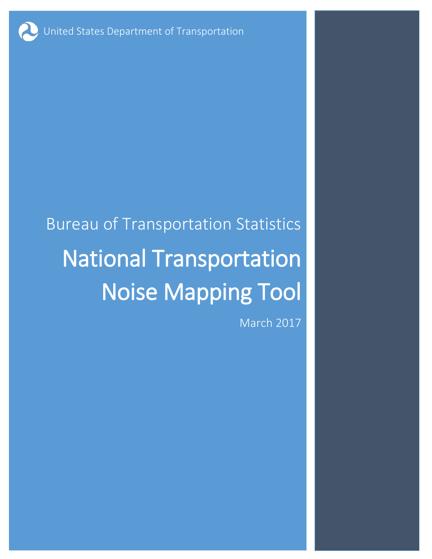United States Department of Transportation

# Bureau of Transportation Statistics National Transportation Noise Mapping Tool

March 2017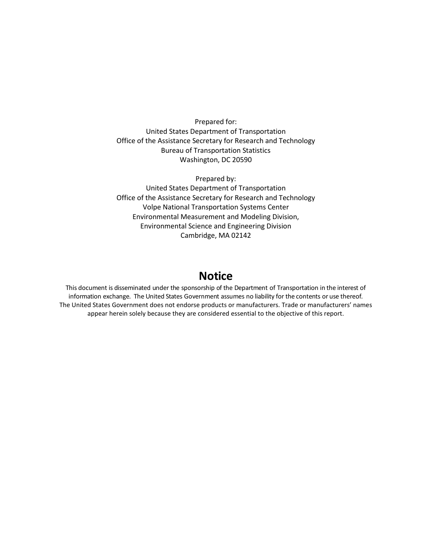Prepared for: United States Department of Transportation Office of the Assistance Secretary for Research and Technology Bureau of Transportation Statistics Washington, DC 20590

Prepared by: United States Department of Transportation Office of the Assistance Secretary for Research and Technology Volpe National Transportation Systems Center Environmental Measurement and Modeling Division, Environmental Science and Engineering Division Cambridge, MA 02142

## **Notice**

This document is disseminated under the sponsorship of the Department of Transportation in the interest of information exchange. The United States Government assumes no liability for the contents or use thereof. The United States Government does not endorse products or manufacturers. Trade or manufacturers' names appear herein solely because they are considered essential to the objective of this report.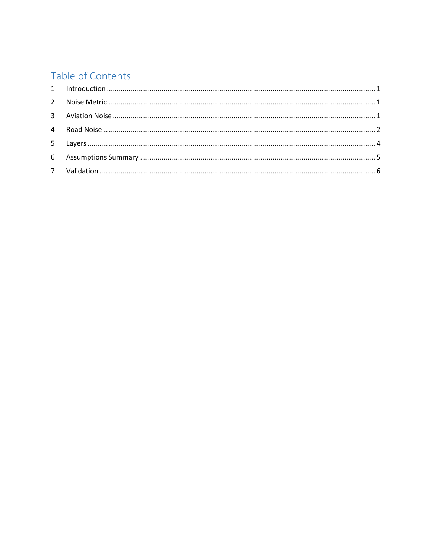## Table of Contents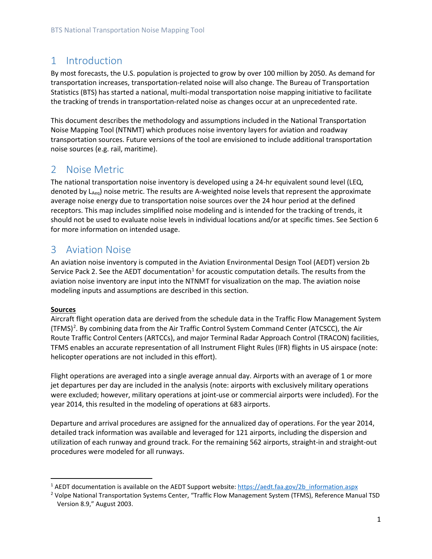## <span id="page-3-0"></span>1 Introduction

By most forecasts, the U.S. population is projected to grow by over 100 million by 2050. As demand for transportation increases, transportation-related noise will also change. The Bureau of Transportation Statistics (BTS) has started a national, multi-modal transportation noise mapping initiative to facilitate the tracking of trends in transportation-related noise as changes occur at an unprecedented rate.

This document describes the methodology and assumptions included in the National Transportation Noise Mapping Tool (NTNMT) which produces noise inventory layers for aviation and roadway transportation sources. Future versions of the tool are envisioned to include additional transportation noise sources (e.g. rail, maritime).

## <span id="page-3-1"></span>2 Noise Metric

The national transportation noise inventory is developed using a 24-hr equivalent sound level (LEQ, denoted by LAeq) noise metric. The results are A-weighted noise levels that represent the approximate average noise energy due to transportation noise sources over the 24 hour period at the defined receptors. This map includes simplified noise modeling and is intended for the tracking of trends, it should not be used to evaluate noise levels in individual locations and/or at specific times. See Sectio[n 6](#page-7-0) for more information on intended usage.

## <span id="page-3-2"></span>3 Aviation Noise

An aviation noise inventory is computed in the Aviation Environmental Design Tool (AEDT) version 2b Service Pack 2. See the AEDT documentation<sup>[1](#page-3-3)</sup> for acoustic computation details. The results from the aviation noise inventory are input into the NTNMT for visualization on the map. The aviation noise modeling inputs and assumptions are described in this section.

#### **Sources**

<span id="page-3-5"></span>Aircraft flight operation data are derived from the schedule data in the Traffic Flow Management System (TFMS)<sup>[2](#page-3-4)</sup>. By combining data from the Air Traffic Control System Command Center (ATCSCC), the Air Route Traffic Control Centers (ARTCCs), and major Terminal Radar Approach Control (TRACON) facilities, TFMS enables an accurate representation of all Instrument Flight Rules (IFR) flights in US airspace (note: helicopter operations are not included in this effort).

Flight operations are averaged into a single average annual day. Airports with an average of 1 or more jet departures per day are included in the analysis (note: airports with exclusively military operations were excluded; however, military operations at joint-use or commercial airports were included). For the year 2014, this resulted in the modeling of operations at 683 airports.

Departure and arrival procedures are assigned for the annualized day of operations. For the year 2014, detailed track information was available and leveraged for 121 airports, including the dispersion and utilization of each runway and ground track. For the remaining 562 airports, straight-in and straight-out procedures were modeled for all runways.

<span id="page-3-3"></span><sup>&</sup>lt;sup>1</sup> AEDT documentation is available on the AEDT Support website: [https://aedt.faa.gov/2b\\_information.aspx](https://aedt.faa.gov/2b_information.aspx)

<span id="page-3-4"></span><sup>2</sup> Volpe National Transportation Systems Center, "Traffic Flow Management System (TFMS), Reference Manual TSD Version 8.9," August 2003.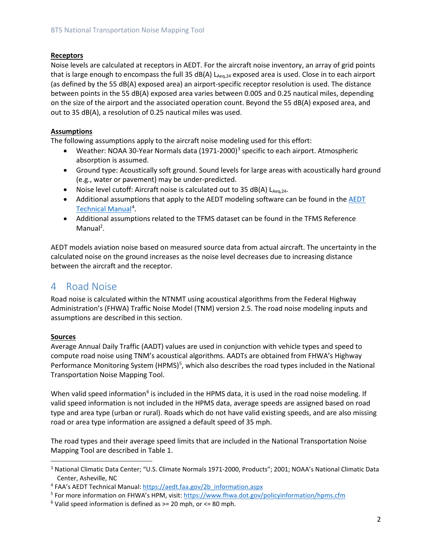#### **Receptors**

Noise levels are calculated at receptors in AEDT. For the aircraft noise inventory, an array of grid points that is large enough to encompass the full 35 dB(A)  $L_{Ae0,24}$  exposed area is used. Close in to each airport (as defined by the 55 dB(A) exposed area) an airport-specific receptor resolution is used. The distance between points in the 55 dB(A) exposed area varies between 0.005 and 0.25 nautical miles, depending on the size of the airport and the associated operation count. Beyond the 55 dB(A) exposed area, and out to 35 dB(A), a resolution of 0.25 nautical miles was used.

#### **Assumptions**

The following assumptions apply to the aircraft noise modeling used for this effort:

- <span id="page-4-6"></span>• Weather: NOAA [3](#page-4-1)0-Year Normals data  $(1971-2000)^3$  specific to each airport. Atmospheric absorption is assumed.
- Ground type: Acoustically soft ground. Sound levels for large areas with acoustically hard ground (e.g., water or pavement) may be under-predicted.
- Noise level cutoff: Aircraft noise is calculated out to 35 dB(A)  $L_{Aeq,24}$ .
- Additional assumptions that apply to the AEDT modeling software can be found in the [AEDT](https://aedt.faa.gov/Documents/AEDT2b_TechManual.pdf)  [Technical Manual](https://aedt.faa.gov/Documents/AEDT2b_TechManual.pdf)<sup>[4](#page-4-2)</sup>.
- Additional assumptions related to the TFMS dataset can be found in the TFMS Reference Manual<sup>2</sup>.

AEDT models aviation noise based on measured source data from actual aircraft. The uncertainty in the calculated noise on the ground increases as the noise level decreases due to increasing distance between the aircraft and the receptor.

### <span id="page-4-0"></span>4 Road Noise

Road noise is calculated within the NTNMT using acoustical algorithms from the Federal Highway Administration's (FHWA) Traffic Noise Model (TNM) version 2.5. The road noise modeling inputs and assumptions are described in this section.

#### **Sources**

<span id="page-4-5"></span>Average Annual Daily Traffic (AADT) values are used in conjunction with vehicle types and speed to compute road noise using TNM's acoustical algorithms. AADTs are obtained from FHWA's Highway Performance Monitoring System (HPMS)<sup>[5](#page-4-3)</sup>, which also describes the road types included in the National Transportation Noise Mapping Tool.

When valid speed information<sup>[6](#page-4-4)</sup> is included in the HPMS data, it is used in the road noise modeling. If valid speed information is not included in the HPMS data, average speeds are assigned based on road type and area type (urban or rural). Roads which do not have valid existing speeds, and are also missing road or area type information are assigned a default speed of 35 mph.

The road types and their average speed limits that are included in the National Transportation Noise Mapping Tool are described in [Table 1.](#page-5-0)

<span id="page-4-1"></span> <sup>3</sup> National Climatic Data Center; "U.S. Climate Normals 1971-2000, Products"; 2001; NOAA's National Climatic Data Center, Asheville, NC

<span id="page-4-2"></span><sup>4</sup> FAA's AEDT Technical Manual[: https://aedt.faa.gov/2b\\_information.aspx](https://aedt.faa.gov/2b_information.aspx)

<span id="page-4-3"></span><sup>5</sup> For more information on FHWA's HPM, visit[: https://www.fhwa.dot.gov/policyinformation/hpms.cfm](https://www.fhwa.dot.gov/policyinformation/hpms.cfm)

<span id="page-4-4"></span> $6$  Valid speed information is defined as  $>= 20$  mph, or  $<= 80$  mph.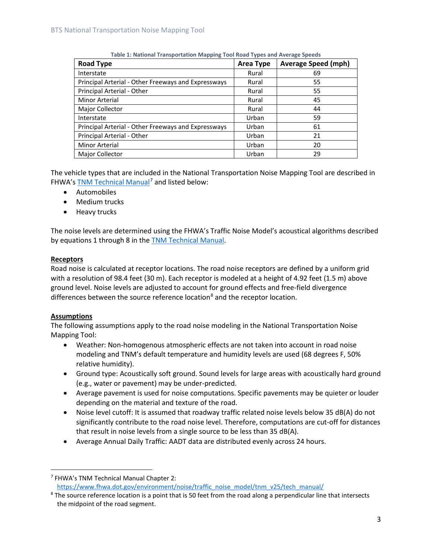<span id="page-5-0"></span>

| <b>Road Type</b>                                    | <b>Area Type</b> | <b>Average Speed (mph)</b> |
|-----------------------------------------------------|------------------|----------------------------|
| Interstate                                          | Rural            | 69                         |
| Principal Arterial - Other Freeways and Expressways | Rural            | 55                         |
| Principal Arterial - Other                          | Rural            | 55                         |
| Minor Arterial                                      | Rural            | 45                         |
| Major Collector                                     | Rural            | 44                         |
| Interstate                                          | Urban            | 59                         |
| Principal Arterial - Other Freeways and Expressways | Urban            | 61                         |
| Principal Arterial - Other                          | Urban            | 21                         |
| Minor Arterial                                      | Urban            | 20                         |
| <b>Major Collector</b>                              | Urban            | 29                         |

**Table 1: National Transportation Mapping Tool Road Types and Average Speeds**

The vehicle types that are included in the National Transportation Noise Mapping Tool are described in FHWA'[s TNM Technical Manual](https://www.fhwa.dot.gov/environment/noise/traffic_noise_model/tnm_v25/tech_manual/)<sup>[7](#page-5-1)</sup> and listed below:

- Automobiles
- Medium trucks
- Heavy trucks

The noise levels are determined using the FHWA's Traffic Noise Model's acoustical algorithms described by equations 1 through 8 in the [TNM Technical Manual.](https://www.fhwa.dot.gov/environment/noise/traffic_noise_model/documents_and_references/)

#### **Receptors**

Road noise is calculated at receptor locations. The road noise receptors are defined by a uniform grid with a resolution of 98.4 feet (30 m). Each receptor is modeled at a height of 4.92 feet (1.5 m) above ground level. Noise levels are adjusted to account for ground effects and free-field divergence differences between the source reference location<sup>[8](#page-5-2)</sup> and the receptor location.

#### **Assumptions**

The following assumptions apply to the road noise modeling in the National Transportation Noise Mapping Tool:

- Weather: Non-homogenous atmospheric effects are not taken into account in road noise modeling and TNM's default temperature and humidity levels are used (68 degrees F, 50% relative humidity).
- Ground type: Acoustically soft ground. Sound levels for large areas with acoustically hard ground (e.g., water or pavement) may be under-predicted.
- Average pavement is used for noise computations. Specific pavements may be quieter or louder depending on the material and texture of the road.
- Noise level cutoff: It is assumed that roadway traffic related noise levels below 35 dB(A) do not significantly contribute to the road noise level. Therefore, computations are cut-off for distances that result in noise levels from a single source to be less than 35 dB(A).
- Average Annual Daily Traffic: AADT data are distributed evenly across 24 hours.

<span id="page-5-1"></span> <sup>7</sup> FHWA's TNM Technical Manual Chapter 2: [https://www.fhwa.dot.gov/environment/noise/traffic\\_noise\\_model/tnm\\_v25/tech\\_manual/](https://www.fhwa.dot.gov/environment/noise/traffic_noise_model/tnm_v25/tech_manual/)

<span id="page-5-2"></span><sup>&</sup>lt;sup>8</sup> The source reference location is a point that is 50 feet from the road along a perpendicular line that intersects the midpoint of the road segment.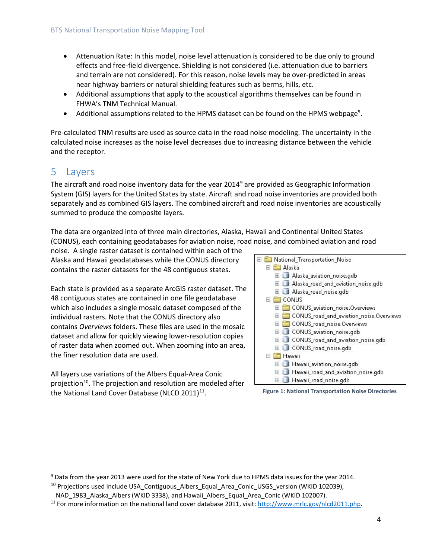- Attenuation Rate: In this model, noise level attenuation is considered to be due only to ground effects and free-field divergence. Shielding is not considered (i.e. attenuation due to barriers and terrain are not considered). For this reason, noise levels may be over-predicted in areas near highway barriers or natural shielding features such as berms, hills, etc.
- Additional assumptions that apply to the acoustical algorithms themselves can be found in FHWA's TNM Technical Manual.
- Additional assumptions related to the HPMS dataset can be found on the HPMS webpage<sup>5</sup>.

Pre-calculated TNM results are used as source data in the road noise modeling. The uncertainty in the calculated noise increases as the noise level decreases due to increasing distance between the vehicle and the receptor.

## <span id="page-6-0"></span>5 Layers

The aircraft and road noise inventory data for the year 2014<sup>9</sup> are provided as Geographic Information System (GIS) layers for the United States by state. Aircraft and road noise inventories are provided both separately and as combined GIS layers. The combined aircraft and road noise inventories are acoustically summed to produce the composite layers.

The data are organized into of three main directories, Alaska, Hawaii and Continental United States (CONUS), each containing geodatabases for aviation noise, road noise, and combined aviation and road

noise. A single raster dataset is contained within each of the Alaska and Hawaii geodatabases while the CONUS directory contains the raster datasets for the 48 contiguous states.

Each state is provided as a separate ArcGIS raster dataset. The 48 contiguous states are contained in one file geodatabase which also includes a single mosaic dataset composed of the individual rasters. Note that the CONUS directory also contains *Overviews* folders. These files are used in the mosaic dataset and allow for quickly viewing lower-resolution copies of raster data when zoomed out. When zooming into an area, the finer resolution data are used.

All layers use variations of the Albers Equal-Area Conic projection<sup>10</sup>. The projection and resolution are modeled after the National Land Cover Database (NLCD 2011) $^{11}$ .



**Figure 1: National Transportation Noise Directories**

<span id="page-6-1"></span><sup>&</sup>lt;sup>9</sup> Data from the year 2013 were used for the state of New York due to HPMS data issues for the year 2014.

<span id="page-6-2"></span> $10$  Projections used include USA Contiguous Albers Equal Area Conic USGS version (WKID 102039), NAD\_1983\_Alaska\_Albers (WKID 3338), and Hawaii\_Albers\_Equal\_Area\_Conic (WKID 102007).

<span id="page-6-3"></span><sup>&</sup>lt;sup>11</sup> For more information on the national land cover database 2011, visit[: http://www.mrlc.gov/nlcd2011.php.](http://www.mrlc.gov/nlcd2011.php)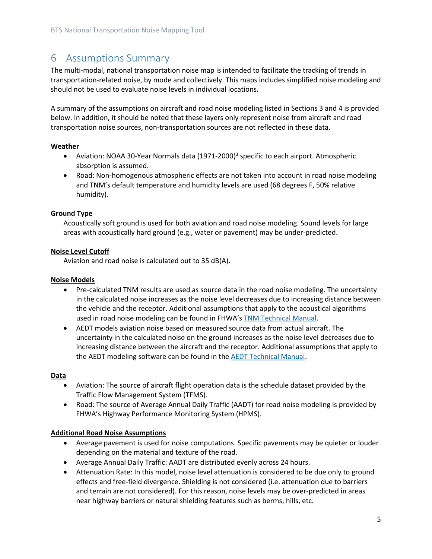## <span id="page-7-0"></span>6 Assumptions Summary

The multi-modal, national transportation noise map is intended to facilitate the tracking of trends in transportation-related noise, by mode and collectively. This maps includes simplified noise modeling and should not be used to evaluate noise levels in individual locations.

A summary of the assumptions on aircraft and road noise modeling listed in Section[s 3](#page-3-2) and [4](#page-4-0) is provided below. In addition, it should be noted that these layers only represent noise from aircraft and road transportation noise sources, non-transportation sources are not reflected in these data.

#### **Weather**

- Aviation: NOAA 30-Year Normals data  $(1971-2000)^3$  specific to each airport. Atmospheric absorption is assumed.
- Road: Non-homogenous atmospheric effects are not taken into account in road noise modeling and TNM's default temperature and humidity levels are used (68 degrees F, 50% relative humidity).

#### **Ground Type**

Acoustically soft ground is used for both aviation and road noise modeling. Sound levels for large areas with acoustically hard ground (e.g., water or pavement) may be under-predicted.

#### **Noise Level Cutoff**

Aviation and road noise is calculated out to 35 dB(A).

#### **Noise Models**

- Pre-calculated TNM results are used as source data in the road noise modeling. The uncertainty in the calculated noise increases as the noise level decreases due to increasing distance between the vehicle and the receptor. Additional assumptions that apply to the acoustical algorithms used in road noise modeling can be found in FHWA's [TNM Technical Manual.](https://www.fhwa.dot.gov/environment/noise/traffic_noise_model/documents_and_references/)
- AEDT models aviation noise based on measured source data from actual aircraft. The uncertainty in the calculated noise on the ground increases as the noise level decreases due to increasing distance between the aircraft and the receptor. Additional assumptions that apply to the AEDT modeling software can be found in the [AEDT Technical Manual.](https://aedt.faa.gov/Documents/AEDT2b_TechManual.pdf)

#### **Data**

- Aviation: The source of aircraft flight operation data is the schedule dataset provided by the Traffic Flow Management System (TFMS).
- Road: The source of Average Annual Daily Traffic (AADT) for road noise modeling is provided by FHWA's Highway Performance Monitoring System (HPMS).

#### **Additional Road Noise Assumptions**

- Average pavement is used for noise computations. Specific pavements may be quieter or louder depending on the material and texture of the road.
- Average Annual Daily Traffic: AADT are distributed evenly across 24 hours.
- Attenuation Rate: In this model, noise level attenuation is considered to be due only to ground effects and free-field divergence. Shielding is not considered (i.e. attenuation due to barriers and terrain are not considered). For this reason, noise levels may be over-predicted in areas near highway barriers or natural shielding features such as berms, hills, etc.